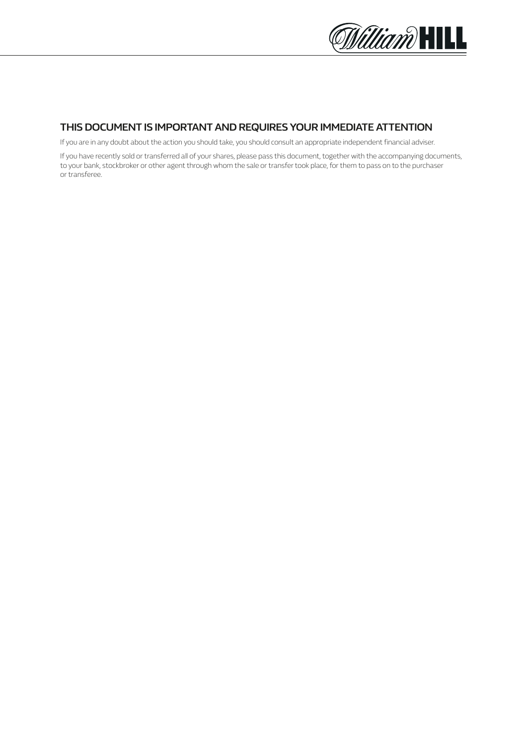

### **THIS DOCUMENT IS IMPORTANT AND REQUIRES YOUR IMMEDIATE ATTENTION**

If you are in any doubt about the action you should take, you should consult an appropriate independent financial adviser.

If you have recently sold or transferred all of your shares, please pass this document, together with the accompanying documents, to your bank, stockbroker or other agent through whom the sale or transfer took place, for them to pass on to the purchaser or transferee.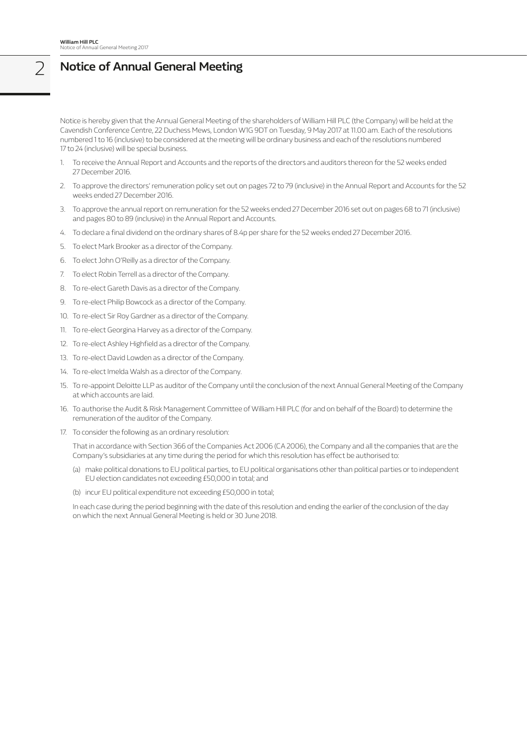# 2 **Notice of Annual General Meeting**

Notice is hereby given that the Annual General Meeting of the shareholders of William Hill PLC (the Company) will be held at the Cavendish Conference Centre, 22 Duchess Mews, London W1G 9DT on Tuesday, 9 May 2017 at 11.00 am. Each of the resolutions numbered 1 to 16 (inclusive) to be considered at the meeting will be ordinary business and each of the resolutions numbered 17 to 24 (inclusive) will be special business.

- 1. To receive the Annual Report and Accounts and the reports of the directors and auditors thereon for the 52 weeks ended 27 December 2016.
- 2. To approve the directors' remuneration policy set out on pages 72 to 79 (inclusive) in the Annual Report and Accounts for the 52 weeks ended 27 December 2016.
- 3. To approve the annual report on remuneration for the 52 weeks ended 27 December 2016 set out on pages 68 to 71 (inclusive) and pages 80 to 89 (inclusive) in the Annual Report and Accounts.
- 4. To declare a final dividend on the ordinary shares of 8.4p per share for the 52 weeks ended 27 December 2016.
- 5. To elect Mark Brooker as a director of the Company.
- 6. To elect John O'Reilly as a director of the Company.
- 7. To elect Robin Terrell as a director of the Company.
- 8. To re-elect Gareth Davis as a director of the Company.
- 9. To re-elect Philip Bowcock as a director of the Company.
- 10. To re-elect Sir Roy Gardner as a director of the Company.
- 11. To re-elect Georgina Harvey as a director of the Company.
- 12. To re-elect Ashley Highfield as a director of the Company.
- 13. To re-elect David Lowden as a director of the Company.
- 14. To re-elect Imelda Walsh as a director of the Company.
- 15. To re-appoint Deloitte LLP as auditor of the Company until the conclusion of the next Annual General Meeting of the Company at which accounts are laid.
- 16. To authorise the Audit & Risk Management Committee of William Hill PLC (for and on behalf of the Board) to determine the remuneration of the auditor of the Company.
- 17. To consider the following as an ordinary resolution:

 That in accordance with Section 366 of the Companies Act 2006 (CA 2006), the Company and all the companies that are the Company's subsidiaries at any time during the period for which this resolution has effect be authorised to:

- (a) make political donations to EU political parties, to EU political organisations other than political parties or to independent EU election candidates not exceeding £50,000 in total; and
- (b) incur EU political expenditure not exceeding £50,000 in total;

 In each case during the period beginning with the date of this resolution and ending the earlier of the conclusion of the day on which the next Annual General Meeting is held or 30 June 2018.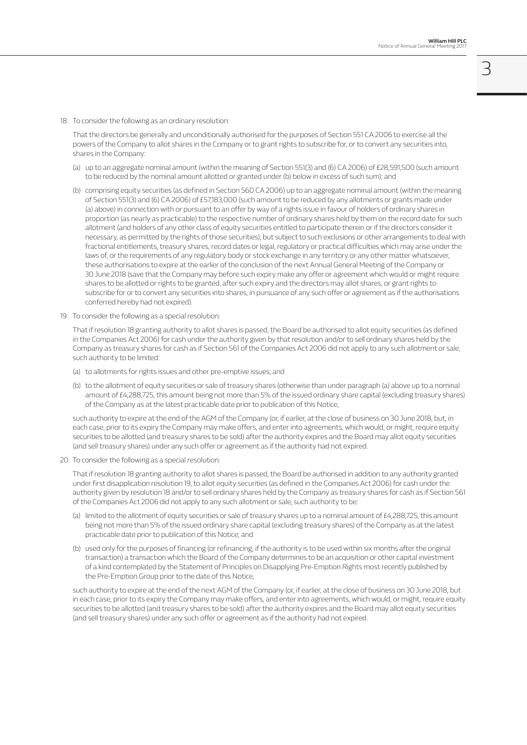18. To consider the following as an ordinary resolution:

 That the directors be generally and unconditionally authorised for the purposes of Section 551 CA 2006 to exercise all the powers of the Company to allot shares in the Company or to grant rights to subscribe for, or to convert any securities into, shares in the Company:

- (a) up to an aggregate nominal amount (within the meaning of Section 551(3) and (6) CA 2006) of £28,591,500 (such amount to be reduced by the nominal amount allotted or granted under (b) below in excess of such sum); and
- (b) comprising equity securities (as defined in Section 560 CA 2006) up to an aggregate nominal amount (within the meaning of Section 551(3) and (6) CA 2006) of £57,183,000 (such amount to be reduced by any allotments or grants made under (a) above) in connection with or pursuant to an offer by way of a rights issue in favour of holders of ordinary shares in proportion (as nearly as practicable) to the respective number of ordinary shares held by them on the record date for such allotment (and holders of any other class of equity securities entitled to participate therein or if the directors consider it necessary, as permitted by the rights of those securities), but subject to such exclusions or other arrangements to deal with fractional entitlements, treasury shares, record dates or legal, regulatory or practical difficulties which may arise under the laws of, or the requirements of any regulatory body or stock exchange in any territory or any other matter whatsoever, these authorisations to expire at the earlier of the conclusion of the next Annual General Meeting of the Company or 30 June 2018 (save that the Company may before such expiry make any offer or agreement which would or might require shares to be allotted or rights to be granted, after such expiry and the directors may allot shares, or grant rights to subscribe for or to convert any securities into shares, in pursuance of any such offer or agreement as if the authorisations conferred hereby had not expired).
- 19. To consider the following as a special resolution:

 That if resolution 18 granting authority to allot shares is passed, the Board be authorised to allot equity securities (as defined in the Companies Act 2006) for cash under the authority given by that resolution and/or to sell ordinary shares held by the Company as treasury shares for cash as if Section 561 of the Companies Act 2006 did not apply to any such allotment or sale, such authority to be limited:

- (a) to allotments for rights issues and other pre-emptive issues; and
- (b) to the allotment of equity securities or sale of treasury shares (otherwise than under paragraph (a) above up to a nominal amount of £4,288,725, this amount being not more than 5% of the issued ordinary share capital (excluding treasury shares) of the Company as at the latest practicable date prior to publication of this Notice,

 such authority to expire at the end of the AGM of the Company (or, if earlier, at the close of business on 30 June 2018, but, in each case, prior to its expiry the Company may make offers, and enter into agreements, which would, or might, require equity securities to be allotted (and treasury shares to be sold) after the authority expires and the Board may allot equity securities (and sell treasury shares) under any such offer or agreement as if the authority had not expired.

20. To consider the following as a special resolution:

 That if resolution 18 granting authority to allot shares is passed, the Board be authorised in addition to any authority granted under first disapplication resolution 19, to allot equity securities (as defined in the Companies Act 2006) for cash under the authority given by resolution 18 and/or to sell ordinary shares held by the Company as treasury shares for cash as if Section 561 of the Companies Act 2006 did not apply to any such allotment or sale, such authority to be:

- (a) limited to the allotment of equity securities or sale of treasury shares up to a nominal amount of £4,288,725, this amount being not more than 5% of the issued ordinary share capital (excluding treasury shares) of the Company as at the latest practicable date prior to publication of this Notice; and
- (b) used only for the purposes of financing (or refinancing, if the authority is to be used within six months after the original transaction) a transaction which the Board of the Company determines to be an acquisition or other capital investment of a kind contemplated by the Statement of Principles on Disapplying Pre-Emption Rights most recently published by the Pre-Emption Group prior to the date of this Notice,

 such authority to expire at the end of the next AGM of the Company (or, if earlier, at the close of business on 30 June 2018, but in each case, prior to its expiry the Company may make offers, and enter into agreements, which would, or might, require equity securities to be allotted (and treasury shares to be sold) after the authority expires and the Board may allot equity securities (and sell treasury shares) under any such offer or agreement as if the authority had not expired.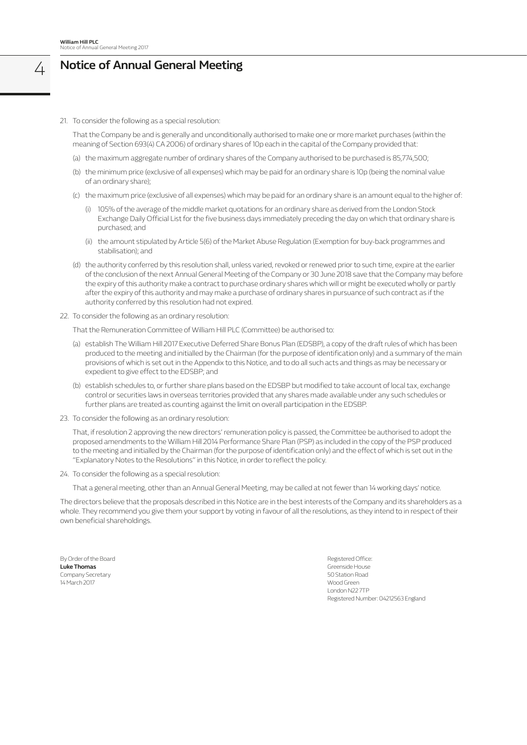### 4 **Notice of Annual General Meeting**

21. To consider the following as a special resolution:

 That the Company be and is generally and unconditionally authorised to make one or more market purchases (within the meaning of Section 693(4) CA 2006) of ordinary shares of 10p each in the capital of the Company provided that:

- (a) the maximum aggregate number of ordinary shares of the Company authorised to be purchased is 85,774,500;
- (b) the minimum price (exclusive of all expenses) which may be paid for an ordinary share is 10p (being the nominal value of an ordinary share);
- (c) the maximum price (exclusive of all expenses) which may be paid for an ordinary share is an amount equal to the higher of:
	- (i) 105% of the average of the middle market quotations for an ordinary share as derived from the London Stock Exchange Daily Official List for the five business days immediately preceding the day on which that ordinary share is purchased; and
	- (ii) the amount stipulated by Article 5(6) of the Market Abuse Regulation (Exemption for buy-back programmes and stabilisation); and
- (d) the authority conferred by this resolution shall, unless varied, revoked or renewed prior to such time, expire at the earlier of the conclusion of the next Annual General Meeting of the Company or 30 June 2018 save that the Company may before the expiry of this authority make a contract to purchase ordinary shares which will or might be executed wholly or partly after the expiry of this authority and may make a purchase of ordinary shares in pursuance of such contract as if the authority conferred by this resolution had not expired.
- 22. To consider the following as an ordinary resolution:

That the Remuneration Committee of William Hill PLC (Committee) be authorised to:

- (a) establish The William Hill 2017 Executive Deferred Share Bonus Plan (EDSBP), a copy of the draft rules of which has been produced to the meeting and initialled by the Chairman (for the purpose of identification only) and a summary of the main provisions of which is set out in the Appendix to this Notice, and to do all such acts and things as may be necessary or expedient to give effect to the EDSBP; and
- (b) establish schedules to, or further share plans based on the EDSBP but modified to take account of local tax, exchange control or securities laws in overseas territories provided that any shares made available under any such schedules or further plans are treated as counting against the limit on overall participation in the EDSBP.
- 23. To consider the following as an ordinary resolution:

 That, if resolution 2 approving the new directors' remuneration policy is passed, the Committee be authorised to adopt the proposed amendments to the William Hill 2014 Performance Share Plan (PSP) as included in the copy of the PSP produced to the meeting and initialled by the Chairman (for the purpose of identification only) and the effect of which is set out in the "Explanatory Notes to the Resolutions" in this Notice, in order to reflect the policy.

24. To consider the following as a special resolution:

That a general meeting, other than an Annual General Meeting, may be called at not fewer than 14 working days' notice.

The directors believe that the proposals described in this Notice are in the best interests of the Company and its shareholders as a whole. They recommend you give them your support by voting in favour of all the resolutions, as they intend to in respect of their own beneficial shareholdings.

By Order of the Board Registered Office: **Luke Thomas** Greenside House Company Secretary 50 Station Road 14 March 2017 Wood Green

London N22 7TP Registered Number: 04212563 England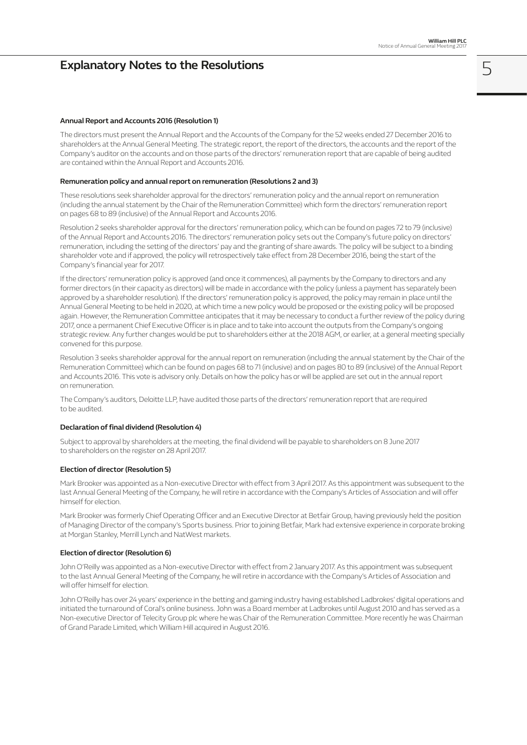### **Explanatory Notes to the Resolutions**

#### **Annual Report and Accounts 2016 (Resolution 1)**

The directors must present the Annual Report and the Accounts of the Company for the 52 weeks ended 27 December 2016 to shareholders at the Annual General Meeting. The strategic report, the report of the directors, the accounts and the report of the Company's auditor on the accounts and on those parts of the directors' remuneration report that are capable of being audited are contained within the Annual Report and Accounts 2016.

#### **Remuneration policy and annual report on remuneration (Resolutions 2 and 3)**

These resolutions seek shareholder approval for the directors' remuneration policy and the annual report on remuneration (including the annual statement by the Chair of the Remuneration Committee) which form the directors' remuneration report on pages 68 to 89 (inclusive) of the Annual Report and Accounts 2016.

Resolution 2 seeks shareholder approval for the directors' remuneration policy, which can be found on pages 72 to 79 (inclusive) of the Annual Report and Accounts 2016. The directors' remuneration policy sets out the Company's future policy on directors' remuneration, including the setting of the directors' pay and the granting of share awards. The policy will be subject to a binding shareholder vote and if approved, the policy will retrospectively take effect from 28 December 2016, being the start of the Company's financial year for 2017.

If the directors' remuneration policy is approved (and once it commences), all payments by the Company to directors and any former directors (in their capacity as directors) will be made in accordance with the policy (unless a payment has separately been approved by a shareholder resolution). If the directors' remuneration policy is approved, the policy may remain in place until the Annual General Meeting to be held in 2020, at which time a new policy would be proposed or the existing policy will be proposed again. However, the Remuneration Committee anticipates that it may be necessary to conduct a further review of the policy during 2017, once a permanent Chief Executive Officer is in place and to take into account the outputs from the Company's ongoing strategic review. Any further changes would be put to shareholders either at the 2018 AGM, or earlier, at a general meeting specially convened for this purpose.

Resolution 3 seeks shareholder approval for the annual report on remuneration (including the annual statement by the Chair of the Remuneration Committee) which can be found on pages 68 to 71 (inclusive) and on pages 80 to 89 (inclusive) of the Annual Report and Accounts 2016. This vote is advisory only. Details on how the policy has or will be applied are set out in the annual report on remuneration.

The Company's auditors, Deloitte LLP, have audited those parts of the directors' remuneration report that are required to be audited.

#### **Declaration of final dividend (Resolution 4)**

Subject to approval by shareholders at the meeting, the final dividend will be payable to shareholders on 8 June 2017 to shareholders on the register on 28 April 2017.

#### **Election of director (Resolution 5)**

Mark Brooker was appointed as a Non-executive Director with effect from 3 April 2017. As this appointment was subsequent to the last Annual General Meeting of the Company, he will retire in accordance with the Company's Articles of Association and will offer himself for election.

Mark Brooker was formerly Chief Operating Officer and an Executive Director at Betfair Group, having previously held the position of Managing Director of the company's Sports business. Prior to joining Betfair, Mark had extensive experience in corporate broking at Morgan Stanley, Merrill Lynch and NatWest markets.

#### **Election of director (Resolution 6)**

John O'Reilly was appointed as a Non-executive Director with effect from 2 January 2017. As this appointment was subsequent to the last Annual General Meeting of the Company, he will retire in accordance with the Company's Articles of Association and will offer himself for election.

John O'Reilly has over 24 years' experience in the betting and gaming industry having established Ladbrokes' digital operations and initiated the turnaround of Coral's online business. John was a Board member at Ladbrokes until August 2010 and has served as a Non-executive Director of Telecity Group plc where he was Chair of the Remuneration Committee. More recently he was Chairman of Grand Parade Limited, which William Hill acquired in August 2016.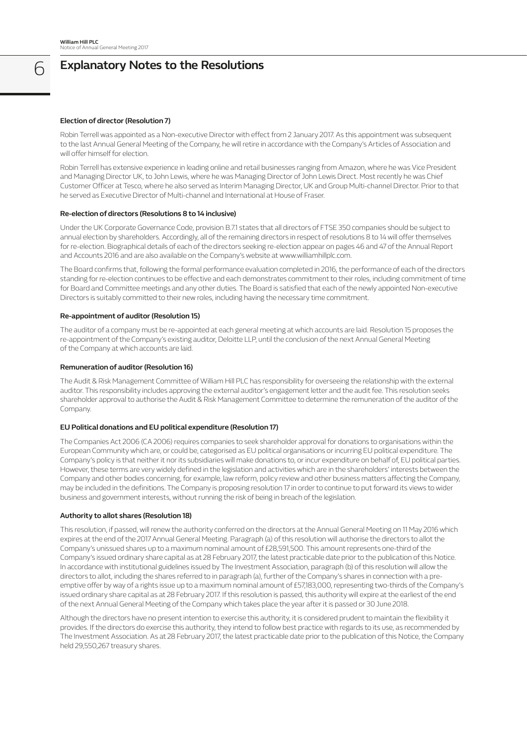## 6 **Explanatory Notes to the Resolutions**

#### **Election of director (Resolution 7)**

Robin Terrell was appointed as a Non-executive Director with effect from 2 January 2017. As this appointment was subsequent to the last Annual General Meeting of the Company, he will retire in accordance with the Company's Articles of Association and will offer himself for election.

Robin Terrell has extensive experience in leading online and retail businesses ranging from Amazon, where he was Vice President and Managing Director UK, to John Lewis, where he was Managing Director of John Lewis Direct. Most recently he was Chief Customer Officer at Tesco, where he also served as Interim Managing Director, UK and Group Multi-channel Director. Prior to that he served as Executive Director of Multi-channel and International at House of Fraser.

#### **Re-election of directors (Resolutions 8 to 14 inclusive)**

Under the UK Corporate Governance Code, provision B.7.1 states that all directors of FTSE 350 companies should be subject to annual election by shareholders. Accordingly, all of the remaining directors in respect of resolutions 8 to 14 will offer themselves for re-election. Biographical details of each of the directors seeking re-election appear on pages 46 and 47 of the Annual Report and Accounts 2016 and are also available on the Company's website at www.williamhillplc.com.

The Board confirms that, following the formal performance evaluation completed in 2016, the performance of each of the directors standing for re-election continues to be effective and each demonstrates commitment to their roles, including commitment of time for Board and Committee meetings and any other duties. The Board is satisfied that each of the newly appointed Non-executive Directors is suitably committed to their new roles, including having the necessary time commitment.

#### **Re-appointment of auditor (Resolution 15)**

The auditor of a company must be re-appointed at each general meeting at which accounts are laid. Resolution 15 proposes the re-appointment of the Company's existing auditor, Deloitte LLP, until the conclusion of the next Annual General Meeting of the Company at which accounts are laid.

#### **Remuneration of auditor (Resolution 16)**

The Audit & Risk Management Committee of William Hill PLC has responsibility for overseeing the relationship with the external auditor. This responsibility includes approving the external auditor's engagement letter and the audit fee. This resolution seeks shareholder approval to authorise the Audit & Risk Management Committee to determine the remuneration of the auditor of the Company.

#### **EU Political donations and EU political expenditure (Resolution 17)**

The Companies Act 2006 (CA 2006) requires companies to seek shareholder approval for donations to organisations within the European Community which are, or could be, categorised as EU political organisations or incurring EU political expenditure. The Company's policy is that neither it nor its subsidiaries will make donations to, or incur expenditure on behalf of, EU political parties. However, these terms are very widely defined in the legislation and activities which are in the shareholders' interests between the Company and other bodies concerning, for example, law reform, policy review and other business matters affecting the Company, may be included in the definitions. The Company is proposing resolution 17 in order to continue to put forward its views to wider business and government interests, without running the risk of being in breach of the legislation.

#### **Authority to allot shares (Resolution 18)**

This resolution, if passed, will renew the authority conferred on the directors at the Annual General Meeting on 11 May 2016 which expires at the end of the 2017 Annual General Meeting. Paragraph (a) of this resolution will authorise the directors to allot the Company's unissued shares up to a maximum nominal amount of £28,591,500. This amount represents one-third of the Company's issued ordinary share capital as at 28 February 2017, the latest practicable date prior to the publication of this Notice. In accordance with institutional guidelines issued by The Investment Association, paragraph (b) of this resolution will allow the directors to allot, including the shares referred to in paragraph (a), further of the Company's shares in connection with a preemptive offer by way of a rights issue up to a maximum nominal amount of £57,183,000, representing two-thirds of the Company's issued ordinary share capital as at 28 February 2017. If this resolution is passed, this authority will expire at the earliest of the end of the next Annual General Meeting of the Company which takes place the year after it is passed or 30 June 2018.

Although the directors have no present intention to exercise this authority, it is considered prudent to maintain the flexibility it provides. If the directors do exercise this authority, they intend to follow best practice with regards to its use, as recommended by The Investment Association. As at 28 February 2017, the latest practicable date prior to the publication of this Notice, the Company held 29,550,267 treasury shares.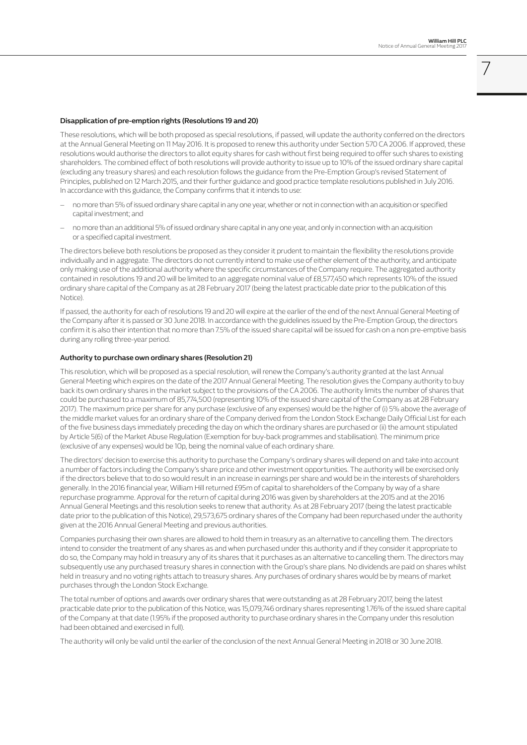7

#### **Disapplication of pre-emption rights (Resolutions 19 and 20)**

These resolutions, which will be both proposed as special resolutions, if passed, will update the authority conferred on the directors at the Annual General Meeting on 11 May 2016. It is proposed to renew this authority under Section 570 CA 2006. If approved, these resolutions would authorise the directors to allot equity shares for cash without first being required to offer such shares to existing shareholders. The combined effect of both resolutions will provide authority to issue up to 10% of the issued ordinary share capital (excluding any treasury shares) and each resolution follows the guidance from the Pre-Emption Group's revised Statement of Principles, published on 12 March 2015, and their further guidance and good practice template resolutions published in July 2016. In accordance with this guidance, the Company confirms that it intends to use:

- no more than 5% of issued ordinary share capital in any one year, whether or not in connection with an acquisition or specified capital investment; and
- no more than an additional 5% of issued ordinary share capital in any one year, and only in connection with an acquisition or a specified capital investment.

The directors believe both resolutions be proposed as they consider it prudent to maintain the flexibility the resolutions provide individually and in aggregate. The directors do not currently intend to make use of either element of the authority, and anticipate only making use of the additional authority where the specific circumstances of the Company require. The aggregated authority contained in resolutions 19 and 20 will be limited to an aggregate nominal value of £8,577,450 which represents 10% of the issued ordinary share capital of the Company as at 28 February 2017 (being the latest practicable date prior to the publication of this Notice).

If passed, the authority for each of resolutions 19 and 20 will expire at the earlier of the end of the next Annual General Meeting of the Company after it is passed or 30 June 2018. In accordance with the guidelines issued by the Pre-Emption Group, the directors confirm it is also their intention that no more than 7.5% of the issued share capital will be issued for cash on a non pre-emptive basis during any rolling three-year period.

#### **Authority to purchase own ordinary shares (Resolution 21)**

This resolution, which will be proposed as a special resolution, will renew the Company's authority granted at the last Annual General Meeting which expires on the date of the 2017 Annual General Meeting. The resolution gives the Company authority to buy back its own ordinary shares in the market subject to the provisions of the CA 2006. The authority limits the number of shares that could be purchased to a maximum of 85,774,500 (representing 10% of the issued share capital of the Company as at 28 February 2017). The maximum price per share for any purchase (exclusive of any expenses) would be the higher of (i) 5% above the average of the middle market values for an ordinary share of the Company derived from the London Stock Exchange Daily Official List for each of the five business days immediately preceding the day on which the ordinary shares are purchased or (ii) the amount stipulated by Article 5(6) of the Market Abuse Regulation (Exemption for buy-back programmes and stabilisation). The minimum price (exclusive of any expenses) would be 10p, being the nominal value of each ordinary share.

The directors' decision to exercise this authority to purchase the Company's ordinary shares will depend on and take into account a number of factors including the Company's share price and other investment opportunities. The authority will be exercised only if the directors believe that to do so would result in an increase in earnings per share and would be in the interests of shareholders generally. In the 2016 financial year, William Hill returned £95m of capital to shareholders of the Company by way of a share repurchase programme. Approval for the return of capital during 2016 was given by shareholders at the 2015 and at the 2016 Annual General Meetings and this resolution seeks to renew that authority. As at 28 February 2017 (being the latest practicable date prior to the publication of this Notice), 29,573,675 ordinary shares of the Company had been repurchased under the authority given at the 2016 Annual General Meeting and previous authorities.

Companies purchasing their own shares are allowed to hold them in treasury as an alternative to cancelling them. The directors intend to consider the treatment of any shares as and when purchased under this authority and if they consider it appropriate to do so, the Company may hold in treasury any of its shares that it purchases as an alternative to cancelling them. The directors may subsequently use any purchased treasury shares in connection with the Group's share plans. No dividends are paid on shares whilst held in treasury and no voting rights attach to treasury shares. Any purchases of ordinary shares would be by means of market purchases through the London Stock Exchange.

The total number of options and awards over ordinary shares that were outstanding as at 28 February 2017, being the latest practicable date prior to the publication of this Notice, was 15,079,746 ordinary shares representing 1.76% of the issued share capital of the Company at that date (1.95% if the proposed authority to purchase ordinary shares in the Company under this resolution had been obtained and exercised in full).

The authority will only be valid until the earlier of the conclusion of the next Annual General Meeting in 2018 or 30 June 2018.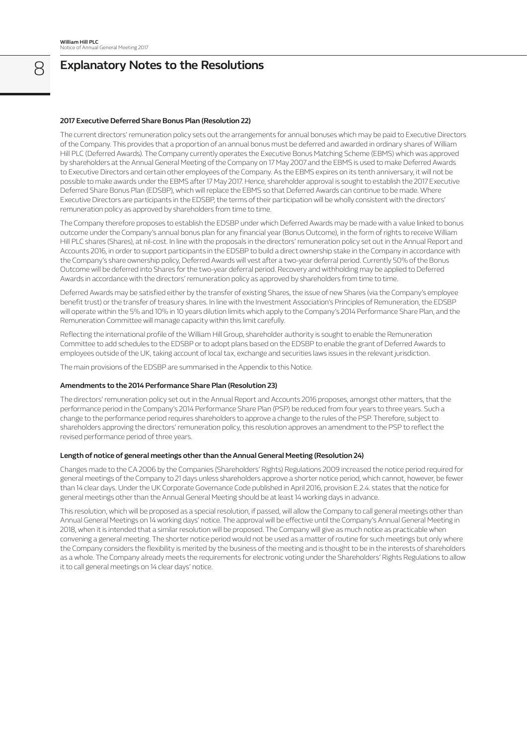## 8 **Explanatory Notes to the Resolutions**

#### **2017 Executive Deferred Share Bonus Plan (Resolution 22)**

The current directors' remuneration policy sets out the arrangements for annual bonuses which may be paid to Executive Directors of the Company. This provides that a proportion of an annual bonus must be deferred and awarded in ordinary shares of William Hill PLC (Deferred Awards). The Company currently operates the Executive Bonus Matching Scheme (EBMS) which was approved by shareholders at the Annual General Meeting of the Company on 17 May 2007 and the EBMS is used to make Deferred Awards to Executive Directors and certain other employees of the Company. As the EBMS expires on its tenth anniversary, it will not be possible to make awards under the EBMS after 17 May 2017. Hence, shareholder approval is sought to establish the 2017 Executive Deferred Share Bonus Plan (EDSBP), which will replace the EBMS so that Deferred Awards can continue to be made. Where Executive Directors are participants in the EDSBP, the terms of their participation will be wholly consistent with the directors' remuneration policy as approved by shareholders from time to time.

The Company therefore proposes to establish the EDSBP under which Deferred Awards may be made with a value linked to bonus outcome under the Company's annual bonus plan for any financial year (Bonus Outcome), in the form of rights to receive William Hill PLC shares (Shares), at nil-cost. In line with the proposals in the directors' remuneration policy set out in the Annual Report and Accounts 2016, in order to support participants in the EDSBP to build a direct ownership stake in the Company in accordance with the Company's share ownership policy, Deferred Awards will vest after a two-year deferral period. Currently 50% of the Bonus Outcome will be deferred into Shares for the two-year deferral period. Recovery and withholding may be applied to Deferred Awards in accordance with the directors' remuneration policy as approved by shareholders from time to time.

Deferred Awards may be satisfied either by the transfer of existing Shares, the issue of new Shares (via the Company's employee benefit trust) or the transfer of treasury shares. In line with the Investment Association's Principles of Remuneration, the EDSBP will operate within the 5% and 10% in 10 years dilution limits which apply to the Company's 2014 Performance Share Plan, and the Remuneration Committee will manage capacity within this limit carefully.

Reflecting the international profile of the William Hill Group, shareholder authority is sought to enable the Remuneration Committee to add schedules to the EDSBP or to adopt plans based on the EDSBP to enable the grant of Deferred Awards to employees outside of the UK, taking account of local tax, exchange and securities laws issues in the relevant jurisdiction.

The main provisions of the EDSBP are summarised in the Appendix to this Notice.

#### **Amendments to the 2014 Performance Share Plan (Resolution 23)**

The directors' remuneration policy set out in the Annual Report and Accounts 2016 proposes, amongst other matters, that the performance period in the Company's 2014 Performance Share Plan (PSP) be reduced from four years to three years. Such a change to the performance period requires shareholders to approve a change to the rules of the PSP. Therefore, subject to shareholders approving the directors' remuneration policy, this resolution approves an amendment to the PSP to reflect the revised performance period of three years.

#### **Length of notice of general meetings other than the Annual General Meeting (Resolution 24)**

Changes made to the CA 2006 by the Companies (Shareholders' Rights) Regulations 2009 increased the notice period required for general meetings of the Company to 21 days unless shareholders approve a shorter notice period, which cannot, however, be fewer than 14 clear days. Under the UK Corporate Governance Code published in April 2016, provision E.2.4. states that the notice for general meetings other than the Annual General Meeting should be at least 14 working days in advance.

This resolution, which will be proposed as a special resolution, if passed, will allow the Company to call general meetings other than Annual General Meetings on 14 working days' notice. The approval will be effective until the Company's Annual General Meeting in 2018, when it is intended that a similar resolution will be proposed. The Company will give as much notice as practicable when convening a general meeting. The shorter notice period would not be used as a matter of routine for such meetings but only where the Company considers the flexibility is merited by the business of the meeting and is thought to be in the interests of shareholders as a whole. The Company already meets the requirements for electronic voting under the Shareholders' Rights Regulations to allow it to call general meetings on 14 clear days' notice.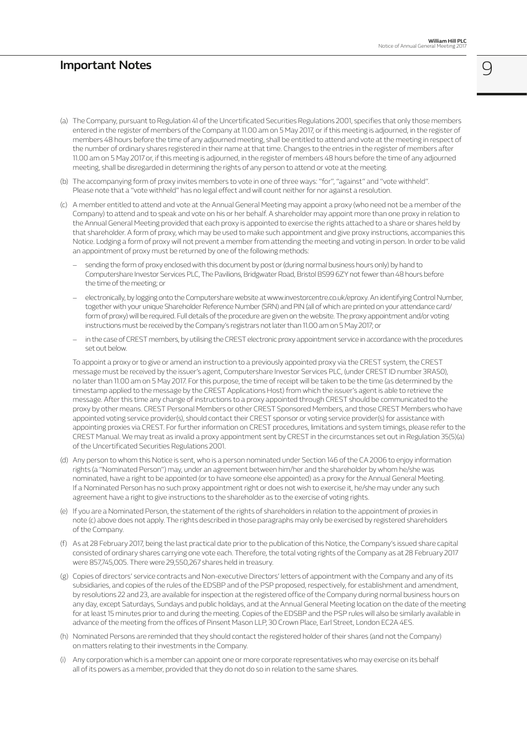### **Important Notes**

9

- (a) The Company, pursuant to Regulation 41 of the Uncertificated Securities Regulations 2001, specifies that only those members entered in the register of members of the Company at 11.00 am on 5 May 2017, or if this meeting is adjourned, in the register of members 48 hours before the time of any adjourned meeting, shall be entitled to attend and vote at the meeting in respect of the number of ordinary shares registered in their name at that time. Changes to the entries in the register of members after 11.00 am on 5 May 2017 or, if this meeting is adjourned, in the register of members 48 hours before the time of any adjourned meeting, shall be disregarded in determining the rights of any person to attend or vote at the meeting.
- (b) The accompanying form of proxy invites members to vote in one of three ways: "for", "against" and "vote withheld". Please note that a "vote withheld" has no legal effect and will count neither for nor against a resolution.
- (c) A member entitled to attend and vote at the Annual General Meeting may appoint a proxy (who need not be a member of the Company) to attend and to speak and vote on his or her behalf. A shareholder may appoint more than one proxy in relation to the Annual General Meeting provided that each proxy is appointed to exercise the rights attached to a share or shares held by that shareholder. A form of proxy, which may be used to make such appointment and give proxy instructions, accompanies this Notice. Lodging a form of proxy will not prevent a member from attending the meeting and voting in person. In order to be valid an appointment of proxy must be returned by one of the following methods:
	- sending the form of proxy enclosed with this document by post or (during normal business hours only) by hand to Computershare Investor Services PLC, The Pavilions, Bridgwater Road, Bristol BS99 6ZY not fewer than 48 hours before the time of the meeting; or
	- electronically, by logging onto the Computershare website at www.investorcentre.co.uk/eproxy. An identifying Control Number, together with your unique Shareholder Reference Number (SRN) and PIN (all of which are printed on your attendance card/ form of proxy) will be required. Full details of the procedure are given on the website. The proxy appointment and/or voting instructions must be received by the Company's registrars not later than 11.00 am on 5 May 2017; or
	- in the case of CREST members, by utilising the CREST electronic proxy appointment service in accordance with the procedures set out below.

 To appoint a proxy or to give or amend an instruction to a previously appointed proxy via the CREST system, the CREST message must be received by the issuer's agent, Computershare Investor Services PLC, (under CREST ID number 3RA50), no later than 11.00 am on 5 May 2017. For this purpose, the time of receipt will be taken to be the time (as determined by the timestamp applied to the message by the CREST Applications Host) from which the issuer's agent is able to retrieve the message. After this time any change of instructions to a proxy appointed through CREST should be communicated to the proxy by other means. CREST Personal Members or other CREST Sponsored Members, and those CREST Members who have appointed voting service provider(s), should contact their CREST sponsor or voting service provider(s) for assistance with appointing proxies via CREST. For further information on CREST procedures, limitations and system timings, please refer to the CREST Manual. We may treat as invalid a proxy appointment sent by CREST in the circumstances set out in Regulation 35(5)(a) of the Uncertificated Securities Regulations 2001.

- (d) Any person to whom this Notice is sent, who is a person nominated under Section 146 of the CA 2006 to enjoy information rights (a "Nominated Person") may, under an agreement between him/her and the shareholder by whom he/she was nominated, have a right to be appointed (or to have someone else appointed) as a proxy for the Annual General Meeting. If a Nominated Person has no such proxy appointment right or does not wish to exercise it, he/she may under any such agreement have a right to give instructions to the shareholder as to the exercise of voting rights.
- (e) If you are a Nominated Person, the statement of the rights of shareholders in relation to the appointment of proxies in note (c) above does not apply. The rights described in those paragraphs may only be exercised by registered shareholders of the Company.
- (f) As at 28 February 2017, being the last practical date prior to the publication of this Notice, the Company's issued share capital consisted of ordinary shares carrying one vote each. Therefore, the total voting rights of the Company as at 28 February 2017 were 857,745,005. There were 29,550,267 shares held in treasury.
- (g) Copies of directors' service contracts and Non-executive Directors' letters of appointment with the Company and any of its subsidiaries, and copies of the rules of the EDSBP and of the PSP proposed, respectively, for establishment and amendment, by resolutions 22 and 23, are available for inspection at the registered office of the Company during normal business hours on any day, except Saturdays, Sundays and public holidays, and at the Annual General Meeting location on the date of the meeting for at least 15 minutes prior to and during the meeting. Copies of the EDSBP and the PSP rules will also be similarly available in advance of the meeting from the offices of Pinsent Mason LLP, 30 Crown Place, Earl Street, London EC2A 4ES.
- (h) Nominated Persons are reminded that they should contact the registered holder of their shares (and not the Company) on matters relating to their investments in the Company.
- (i) Any corporation which is a member can appoint one or more corporate representatives who may exercise on its behalf all of its powers as a member, provided that they do not do so in relation to the same shares.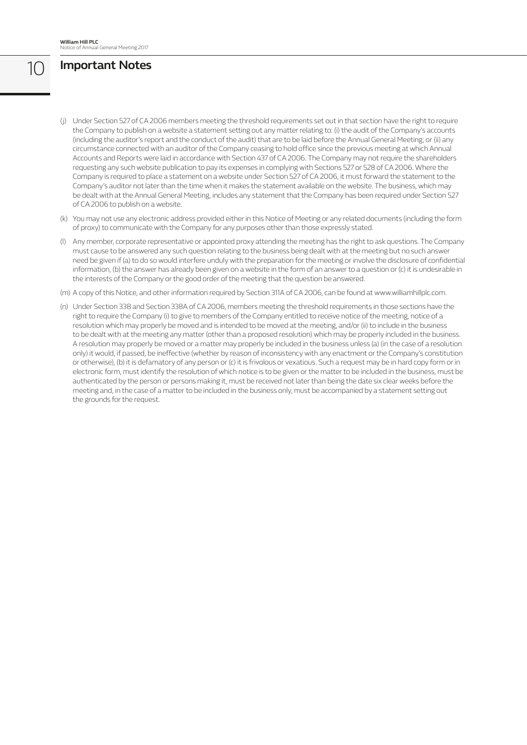# 10 **Important Notes**

- (j) Under Section 527 of CA 2006 members meeting the threshold requirements set out in that section have the right to require the Company to publish on a website a statement setting out any matter relating to: (i) the audit of the Company's accounts (including the auditor's report and the conduct of the audit) that are to be laid before the Annual General Meeting; or (ii) any circumstance connected with an auditor of the Company ceasing to hold office since the previous meeting at which Annual Accounts and Reports were laid in accordance with Section 437 of CA 2006. The Company may not require the shareholders requesting any such website publication to pay its expenses in complying with Sections 527 or 528 of CA 2006. Where the Company is required to place a statement on a website under Section 527 of CA 2006, it must forward the statement to the Company's auditor not later than the time when it makes the statement available on the website. The business, which may be dealt with at the Annual General Meeting, includes any statement that the Company has been required under Section 527 of CA 2006 to publish on a website.
- (k) You may not use any electronic address provided either in this Notice of Meeting or any related documents (including the form of proxy) to communicate with the Company for any purposes other than those expressly stated.
- (l) Any member, corporate representative or appointed proxy attending the meeting has the right to ask questions. The Company must cause to be answered any such question relating to the business being dealt with at the meeting but no such answer need be given if (a) to do so would interfere unduly with the preparation for the meeting or involve the disclosure of confidential information, (b) the answer has already been given on a website in the form of an answer to a question or (c) it is undesirable in the interests of the Company or the good order of the meeting that the question be answered.
- (m) A copy of this Notice, and other information required by Section 311A of CA 2006, can be found at www.williamhillplc.com.
- (n) Under Section 338 and Section 338A of CA 2006, members meeting the threshold requirements in those sections have the right to require the Company (i) to give to members of the Company entitled to receive notice of the meeting, notice of a resolution which may properly be moved and is intended to be moved at the meeting, and/or (ii) to include in the business to be dealt with at the meeting any matter (other than a proposed resolution) which may be properly included in the business. A resolution may properly be moved or a matter may properly be included in the business unless (a) (in the case of a resolution only) it would, if passed, be ineffective (whether by reason of inconsistency with any enactment or the Company's constitution or otherwise), (b) it is defamatory of any person or (c) it is frivolous or vexatious. Such a request may be in hard copy form or in electronic form, must identify the resolution of which notice is to be given or the matter to be included in the business, must be authenticated by the person or persons making it, must be received not later than being the date six clear weeks before the meeting and, in the case of a matter to be included in the business only, must be accompanied by a statement setting out the grounds for the request.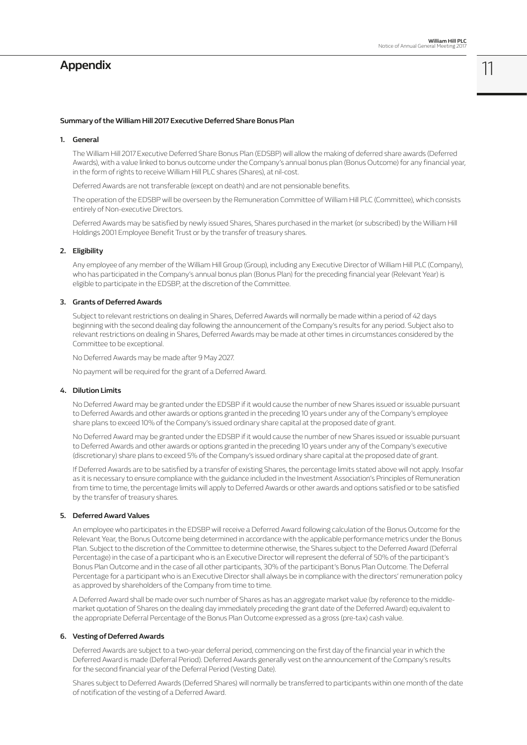### **Appendix**

11

#### **Summary of the William Hill 2017 Executive Deferred Share Bonus Plan**

#### **1. General**

 The William Hill 2017 Executive Deferred Share Bonus Plan (EDSBP) will allow the making of deferred share awards (Deferred Awards), with a value linked to bonus outcome under the Company's annual bonus plan (Bonus Outcome) for any financial year, in the form of rights to receive William Hill PLC shares (Shares), at nil-cost.

Deferred Awards are not transferable (except on death) and are not pensionable benefits.

 The operation of the EDSBP will be overseen by the Remuneration Committee of William Hill PLC (Committee), which consists entirely of Non-executive Directors.

 Deferred Awards may be satisfied by newly issued Shares, Shares purchased in the market (or subscribed) by the William Hill Holdings 2001 Employee Benefit Trust or by the transfer of treasury shares.

#### **2. Eligibility**

 Any employee of any member of the William Hill Group (Group), including any Executive Director of William Hill PLC (Company), who has participated in the Company's annual bonus plan (Bonus Plan) for the preceding financial year (Relevant Year) is eligible to participate in the EDSBP, at the discretion of the Committee.

#### **3. Grants of Deferred Awards**

 Subject to relevant restrictions on dealing in Shares, Deferred Awards will normally be made within a period of 42 days beginning with the second dealing day following the announcement of the Company's results for any period. Subject also to relevant restrictions on dealing in Shares, Deferred Awards may be made at other times in circumstances considered by the Committee to be exceptional.

No Deferred Awards may be made after 9 May 2027.

No payment will be required for the grant of a Deferred Award.

#### **4. Dilution Limits**

 No Deferred Award may be granted under the EDSBP if it would cause the number of new Shares issued or issuable pursuant to Deferred Awards and other awards or options granted in the preceding 10 years under any of the Company's employee share plans to exceed 10% of the Company's issued ordinary share capital at the proposed date of grant.

 No Deferred Award may be granted under the EDSBP if it would cause the number of new Shares issued or issuable pursuant to Deferred Awards and other awards or options granted in the preceding 10 years under any of the Company's executive (discretionary) share plans to exceed 5% of the Company's issued ordinary share capital at the proposed date of grant.

 If Deferred Awards are to be satisfied by a transfer of existing Shares, the percentage limits stated above will not apply. Insofar as it is necessary to ensure compliance with the guidance included in the Investment Association's Principles of Remuneration from time to time, the percentage limits will apply to Deferred Awards or other awards and options satisfied or to be satisfied by the transfer of treasury shares.

#### **5. Deferred Award Values**

 An employee who participates in the EDSBP will receive a Deferred Award following calculation of the Bonus Outcome for the Relevant Year, the Bonus Outcome being determined in accordance with the applicable performance metrics under the Bonus Plan. Subject to the discretion of the Committee to determine otherwise, the Shares subject to the Deferred Award (Deferral Percentage) in the case of a participant who is an Executive Director will represent the deferral of 50% of the participant's Bonus Plan Outcome and in the case of all other participants, 30% of the participant's Bonus Plan Outcome. The Deferral Percentage for a participant who is an Executive Director shall always be in compliance with the directors' remuneration policy as approved by shareholders of the Company from time to time.

 A Deferred Award shall be made over such number of Shares as has an aggregate market value (by reference to the middlemarket quotation of Shares on the dealing day immediately preceding the grant date of the Deferred Award) equivalent to the appropriate Deferral Percentage of the Bonus Plan Outcome expressed as a gross (pre-tax) cash value.

#### **6. Vesting of Deferred Awards**

 Deferred Awards are subject to a two-year deferral period, commencing on the first day of the financial year in which the Deferred Award is made (Deferral Period). Deferred Awards generally vest on the announcement of the Company's results for the second financial year of the Deferral Period (Vesting Date).

 Shares subject to Deferred Awards (Deferred Shares) will normally be transferred to participants within one month of the date of notification of the vesting of a Deferred Award.